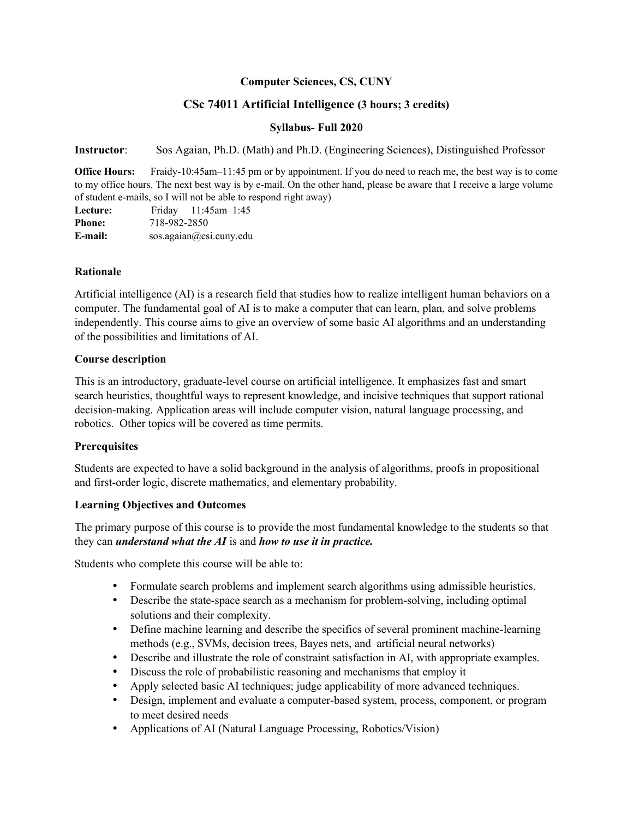### **Computer Sciences, CS, CUNY**

# **CSc 74011 Artificial Intelligence (3 hours; 3 credits)**

### **Syllabus- Full 2020**

**Instructor**: Sos Agaian, Ph.D. (Math) and Ph.D. (Engineering Sciences), Distinguished Professor

**Office Hours:** Fraidy-10:45am–11:45 pm or by appointment. If you do need to reach me, the best way is to come to my office hours. The next best way is by e-mail. On the other hand, please be aware that I receive a large volume of student e-mails, so I will not be able to respond right away)

| Lecture:      |                         | Friday $11:45$ am-1:45 |  |
|---------------|-------------------------|------------------------|--|
| <b>Phone:</b> | 718-982-2850            |                        |  |
| E-mail:       | sos.agaian@csi.cuny.edu |                        |  |

#### **Rationale**

Artificial intelligence (AI) is a research field that studies how to realize intelligent human behaviors on a computer. The fundamental goal of AI is to make a computer that can learn, plan, and solve problems independently. This course aims to give an overview of some basic AI algorithms and an understanding of the possibilities and limitations of AI.

### **Course description**

This is an introductory, graduate-level course on artificial intelligence. It emphasizes fast and smart search heuristics, thoughtful ways to represent knowledge, and incisive techniques that support rational decision-making. Application areas will include computer vision, natural language processing, and robotics. Other topics will be covered as time permits.

## **Prerequisites**

Students are expected to have a solid background in the analysis of algorithms, proofs in propositional and first-order logic, discrete mathematics, and elementary probability.

#### **Learning Objectives and Outcomes**

The primary purpose of this course is to provide the most fundamental knowledge to the students so that they can *understand what the AI* is and *how to use it in practice.*

Students who complete this course will be able to:

- Formulate search problems and implement search algorithms using admissible heuristics.
- Describe the state-space search as a mechanism for problem-solving, including optimal solutions and their complexity.
- Define machine learning and describe the specifics of several prominent machine-learning methods (e.g., SVMs, decision trees, Bayes nets, and artificial neural networks)
- Describe and illustrate the role of constraint satisfaction in AI, with appropriate examples.
- Discuss the role of probabilistic reasoning and mechanisms that employ it
- Apply selected basic AI techniques; judge applicability of more advanced techniques.
- Design, implement and evaluate a computer-based system, process, component, or program to meet desired needs
- Applications of AI (Natural Language Processing, Robotics/Vision)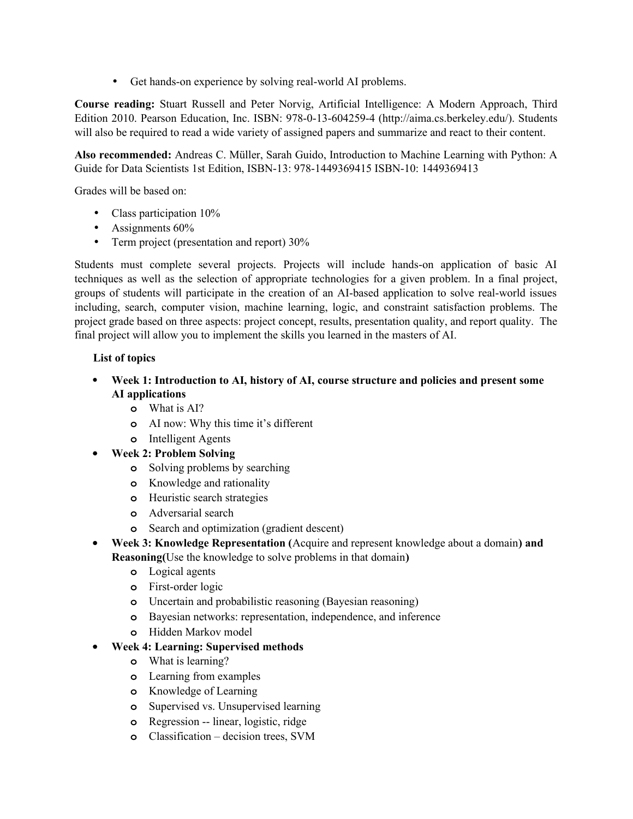• Get hands-on experience by solving real-world AI problems.

**Course reading:** Stuart Russell and Peter Norvig, Artificial Intelligence: A Modern Approach, Third Edition 2010. Pearson Education, Inc. ISBN: 978-0-13-604259-4 (http://aima.cs.berkeley.edu/). Students will also be required to read a wide variety of assigned papers and summarize and react to their content.

**Also recommended:** Andreas C. Müller, Sarah Guido, Introduction to Machine Learning with Python: A Guide for Data Scientists 1st Edition, ISBN-13: 978-1449369415 ISBN-10: 1449369413

Grades will be based on:

- Class participation  $10\%$
- Assignments 60%
- Term project (presentation and report) 30%

Students must complete several projects. Projects will include hands-on application of basic AI techniques as well as the selection of appropriate technologies for a given problem. In a final project, groups of students will participate in the creation of an AI-based application to solve real-world issues including, search, computer vision, machine learning, logic, and constraint satisfaction problems. The project grade based on three aspects: project concept, results, presentation quality, and report quality. The final project will allow you to implement the skills you learned in the masters of AI.

## **List of topics**

- **Week 1: Introduction to AI, history of AI, course structure and policies and present some AI applications**
	- **o** What is AI?
	- **o** AI now: Why this time it's different
	- **o** Intelligent Agents
- **Week 2: Problem Solving**
	- **o** Solving problems by searching
	- **o** Knowledge and rationality
	- **o** Heuristic search strategies
	- **o** Adversarial search
	- **o** Search and optimization (gradient descent)
- **Week 3: Knowledge Representation (**Acquire and represent knowledge about a domain**) and Reasoning(**Use the knowledge to solve problems in that domain**)**
	- **o** Logical agents
	- **o** First-order logic
	- **o** Uncertain and probabilistic reasoning (Bayesian reasoning)
	- **o** Bayesian networks: representation, independence, and inference
	- **o** Hidden Markov model
- **Week 4: Learning: Supervised methods**
	- **o** What is learning?
	- **o** Learning from examples
	- **o** Knowledge of Learning
	- **o** Supervised vs. Unsupervised learning
	- **o** Regression -- linear, logistic, ridge
	- **o** Classification decision trees, SVM